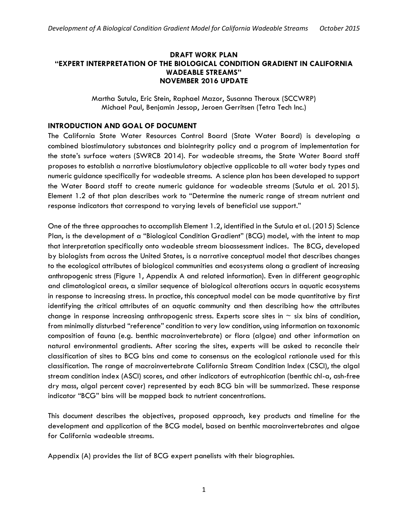#### **DRAFT WORK PLAN "EXPERT INTERPRETATION OF THE BIOLOGICAL CONDITION GRADIENT IN CALIFORNIA WADEABLE STREAMS" NOVEMBER 2016 UPDATE**

Martha Sutula, Eric Stein, Raphael Mazor, Susanna Theroux (SCCWRP) Michael Paul, Benjamin Jessop, Jeroen Gerritsen (Tetra Tech Inc.)

#### **INTRODUCTION AND GOAL OF DOCUMENT**

The California State Water Resources Control Board (State Water Board) is developing a combined biostimulatory substances and biointegrity policy and a program of implementation for the state's surface waters (SWRCB 2014). For wadeable streams, the State Water Board staff proposes to establish a narrative biostiumulatory objective applicable to all water body types and numeric guidance specifically for wadeable streams. A science plan has been developed to support the Water Board staff to create numeric guidance for wadeable streams (Sutula et al. 2015). Element 1.2 of that plan describes work to "Determine the numeric range of stream nutrient and response indicators that correspond to varying levels of beneficial use support."

One of the three approaches to accomplish Element 1.2, identified in the Sutula et al. (2015) Science Plan, is the development of a "Biological Condition Gradient" (BCG) model, with the intent to map that interpretation specifically onto wadeable stream bioassessment indices. The BCG, developed by biologists from across the United States, is a narrative conceptual model that describes changes to the ecological attributes of biological communities and ecosystems along a gradient of increasing anthropogenic stress (Figure 1, Appendix A and related information). Even in different geographic and climatological areas, a similar sequence of biological alterations occurs in aquatic ecosystems in response to increasing stress. In practice, this conceptual model can be made quantitative by first identifying the critical attributes of an aquatic community and then describing how the attributes change in response increasing anthropogenic stress. Experts score sites in  $\sim$  six bins of condition, from minimally disturbed "reference" condition to very low condition, using information on taxonomic composition of fauna (e.g. benthic macroinvertebrate) or flora (algae) and other information on natural environmental gradients. After scoring the sites, experts will be asked to reconcile their classification of sites to BCG bins and come to consensus on the ecological rationale used for this classification. The range of macroinvertebrate California Stream Condition Index (CSCI), the algal stream condition index (ASCI) scores, and other indicators of eutrophication (benthic chl-a, ash-free dry mass, algal percent cover) represented by each BCG bin will be summarized. These response indicator "BCG" bins will be mapped back to nutrient concentrations.

This document describes the objectives, proposed approach, key products and timeline for the development and application of the BCG model, based on benthic macroinvertebrates and algae for California wadeable streams.

Appendix (A) provides the list of BCG expert panelists with their biographies.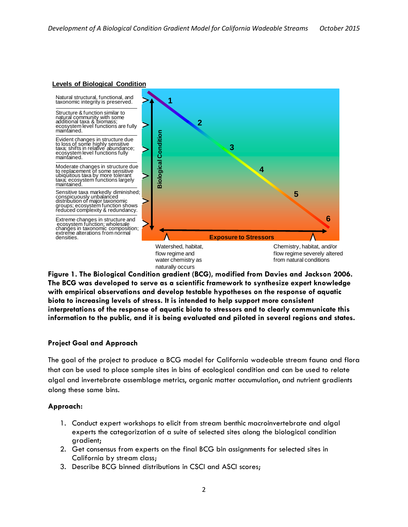

**Figure 1. The Biological Condition gradient (BCG), modified from Davies and Jackson 2006. The BCG was developed to serve as a scientific framework to synthesize expert knowledge with empirical observations and develop testable hypotheses on the response of aquatic biota to increasing levels of stress. It is intended to help support more consistent interpretations of the response of aquatic biota to stressors and to clearly communicate this information to the public, and it is being evaluated and piloted in several regions and states.**

#### **Project Goal and Approach**

The goal of the project to produce a BCG model for California wadeable stream fauna and flora that can be used to place sample sites in bins of ecological condition and can be used to relate algal and invertebrate assemblage metrics, organic matter accumulation, and nutrient gradients along these same bins.

### **Approach:**

- 1. Conduct expert workshops to elicit from stream benthic macroinvertebrate and algal experts the categorization of a suite of selected sites along the biological condition gradient;
- 2. Get consensus from experts on the final BCG bin assignments for selected sites in California by stream class;
- 3. Describe BCG binned distributions in CSCI and ASCI scores;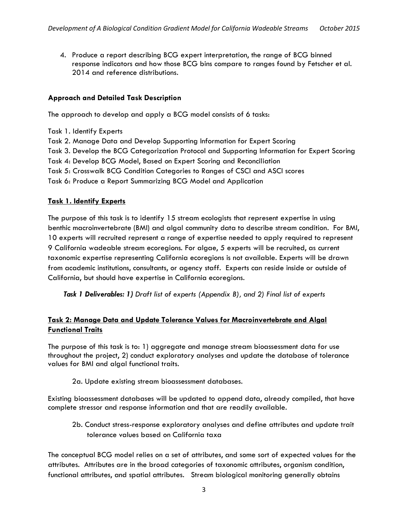4. Produce a report describing BCG expert interpretation, the range of BCG binned response indicators and how those BCG bins compare to ranges found by Fetscher et al. 2014 and reference distributions.

### **Approach and Detailed Task Description**

The approach to develop and apply a BCG model consists of 6 tasks:

- Task 1. Identify Experts
- Task 2. Manage Data and Develop Supporting Information for Expert Scoring
- Task 3. Develop the BCG Categorization Protocol and Supporting Information for Expert Scoring
- Task 4: Develop BCG Model, Based on Expert Scoring and Reconciliation
- Task 5: Crosswalk BCG Condition Categories to Ranges of CSCI and ASCI scores
- Task 6: Produce a Report Summarizing BCG Model and Application

### **Task 1. Identify Experts**

The purpose of this task is to identify 15 stream ecologists that represent expertise in using benthic macroinvertebrate (BMI) and algal community data to describe stream condition. For BMI, 10 experts will recruited represent a range of expertise needed to apply required to represent 9 California wadeable stream ecoregions. For algae, 5 experts will be recruited, as current taxonomic expertise representing California ecoregions is not available. Experts will be drawn from academic institutions, consultants, or agency staff. Experts can reside inside or outside of California, but should have expertise in California ecoregions.

*Task 1 Deliverables: 1) Draft list of experts (Appendix B), and 2) Final list of experts*

### **Task 2: Manage Data and Update Tolerance Values for Macroinvertebrate and Algal Functional Traits**

The purpose of this task is to: 1) aggregate and manage stream bioassessment data for use throughout the project, 2) conduct exploratory analyses and update the database of tolerance values for BMI and algal functional traits.

2a. Update existing stream bioassessment databases.

Existing bioassessment databases will be updated to append data, already compiled, that have complete stressor and response information and that are readily available.

2b. Conduct stress-response exploratory analyses and define attributes and update trait tolerance values based on California taxa

The conceptual BCG model relies on a set of attributes, and some sort of expected values for the attributes. Attributes are in the broad categories of taxonomic attributes, organism condition, functional attributes, and spatial attributes. Stream biological monitoring generally obtains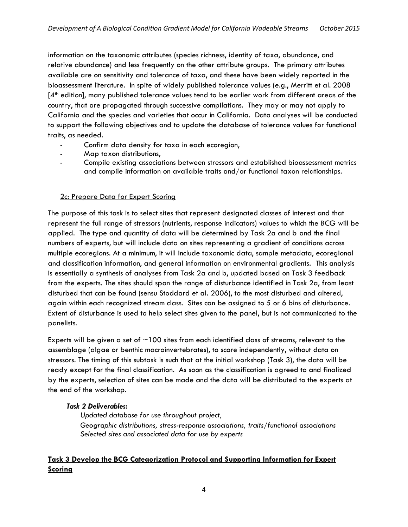information on the taxonomic attributes (species richness, identity of taxa, abundance, and relative abundance) and less frequently on the other attribute groups. The primary attributes available are on sensitivity and tolerance of taxa, and these have been widely reported in the bioassessment literature. In spite of widely published tolerance values (e.g., Merritt et al. 2008 [4th edition], many published tolerance values tend to be earlier work from different areas of the country, that are propagated through successive compilations. They may or may not apply to California and the species and varieties that occur in California. Data analyses will be conducted to support the following objectives and to update the database of tolerance values for functional traits, as needed.

- Confirm data density for taxa in each ecoregion,
- Map taxon distributions,
- Compile existing associations between stressors and established bioassessment metrics and compile information on available traits and/or functional taxon relationships.

#### 2c: Prepare Data for Expert Scoring

The purpose of this task is to select sites that represent designated classes of interest and that represent the full range of stressors (nutrients, response indicators) values to which the BCG will be applied. The type and quantity of data will be determined by Task 2a and b and the final numbers of experts, but will include data on sites representing a gradient of conditions across multiple ecoregions. At a minimum, it will include taxonomic data, sample metadata, ecoregional and classification information, and general information on environmental gradients. This analysis is essentially a synthesis of analyses from Task 2a and b, updated based on Task 3 feedback from the experts. The sites should span the range of disturbance identified in Task 2a, from least disturbed that can be found (sensu Stoddard et al. 2006), to the most disturbed and altered, again within each recognized stream class. Sites can be assigned to 5 or 6 bins of disturbance. Extent of disturbance is used to help select sites given to the panel, but is not communicated to the panelists.

Experts will be given a set of  $\sim$ 100 sites from each identified class of streams, relevant to the assemblage (algae or benthic macroinvertebrates), to score independently, without data on stressors. The timing of this subtask is such that at the initial workshop (Task 3), the data will be ready except for the final classification. As soon as the classification is agreed to and finalized by the experts, selection of sites can be made and the data will be distributed to the experts at the end of the workshop.

### *Task 2 Deliverables:*

*Updated database for use throughout project, Geographic distributions, stress-response associations, traits/functional associations Selected sites and associated data for use by experts*

### **Task 3 Develop the BCG Categorization Protocol and Supporting Information for Expert Scoring**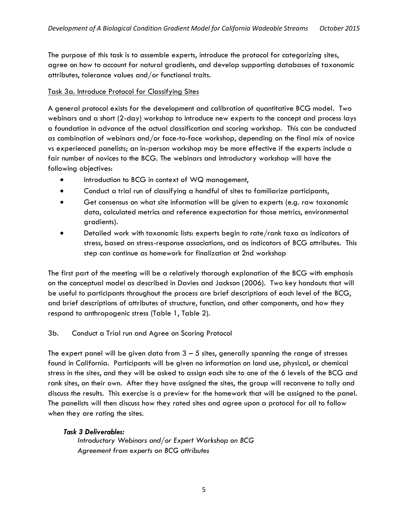The purpose of this task is to assemble experts, introduce the protocol for categorizing sites, agree on how to account for natural gradients, and develop supporting databases of taxonomic attributes, tolerance values and/or functional traits.

### Task 3a. Introduce Protocol for Classifying Sites

A general protocol exists for the development and calibration of quantitative BCG model. Two webinars and a short (2-day) workshop to introduce new experts to the concept and process lays a foundation in advance of the actual classification and scoring workshop. This can be conducted as combination of webinars and/or face-to-face workshop, depending on the final mix of novice vs experienced panelists; an in-person workshop may be more effective if the experts include a fair number of novices to the BCG. The webinars and introductory workshop will have the following objectives:

- Introduction to BCG in context of WQ management,
- Conduct a trial run of classifying a handful of sites to familiarize participants,
- Get consensus on what site information will be given to experts (e.g. raw taxonomic data, calculated metrics and reference expectation for those metrics, environmental gradients).
- Detailed work with taxonomic lists: experts begin to rate/rank taxa as indicators of stress, based on stress-response associations, and as indicators of BCG attributes. This step can continue as homework for finalization at 2nd workshop

The first part of the meeting will be a relatively thorough explanation of the BCG with emphasis on the conceptual model as described in Davies and Jackson (2006). Two key handouts that will be useful to participants throughout the process are brief descriptions of each level of the BCG, and brief descriptions of attributes of structure, function, and other components, and how they respond to anthropogenic stress (Table 1, Table 2).

### 3b. Conduct a Trial run and Agree on Scoring Protocol

The expert panel will be given data from  $3 - 5$  sites, generally spanning the range of stresses found in California. Participants will be given no information on land use, physical, or chemical stress in the sites, and they will be asked to assign each site to one of the 6 levels of the BCG and rank sites, on their own. After they have assigned the sites, the group will reconvene to tally and discuss the results. This exercise is a preview for the homework that will be assigned to the panel. The panelists will then discuss how they rated sites and agree upon a protocol for all to follow when they are rating the sites.

### *Task 3 Deliverables:*

*Introductory Webinars and/or Expert Workshop on BCG Agreement from experts on BCG attributes*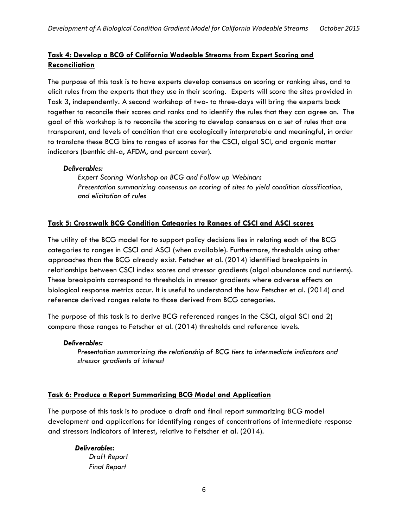# **Task 4: Develop a BCG of California Wadeable Streams from Expert Scoring and Reconciliation**

The purpose of this task is to have experts develop consensus on scoring or ranking sites, and to elicit rules from the experts that they use in their scoring. Experts will score the sites provided in Task 3, independently. A second workshop of two- to three-days will bring the experts back together to reconcile their scores and ranks and to identify the rules that they can agree on. The goal of this workshop is to reconcile the scoring to develop consensus on a set of rules that are transparent, and levels of condition that are ecologically interpretable and meaningful, in order to translate these BCG bins to ranges of scores for the CSCI, algal SCI, and organic matter indicators (benthic chl-a, AFDM, and percent cover).

#### *Deliverables:*

*Expert Scoring Workshop on BCG and Follow up Webinars Presentation summarizing consensus on scoring of sites to yield condition classification, and elicitation of rules*

### **Task 5: Crosswalk BCG Condition Categories to Ranges of CSCI and ASCI scores**

The utility of the BCG model for to support policy decisions lies in relating each of the BCG categories to ranges in CSCI and ASCI (when available). Furthermore, thresholds using other approaches than the BCG already exist. Fetscher et al. (2014) identified breakpoints in relationships between CSCI index scores and stressor gradients (algal abundance and nutrients). These breakpoints correspond to thresholds in stressor gradients where adverse effects on biological response metrics occur. It is useful to understand the how Fetscher et al. (2014) and reference derived ranges relate to those derived from BCG categories.

The purpose of this task is to derive BCG referenced ranges in the CSCI, algal SCI and 2) compare those ranges to Fetscher et al. (2014) thresholds and reference levels.

#### *Deliverables:*

*Presentation summarizing the relationship of BCG tiers to intermediate indicators and stressor gradients of interest*

### **Task 6: Produce a Report Summarizing BCG Model and Application**

The purpose of this task is to produce a draft and final report summarizing BCG model development and applications for identifying ranges of concentrations of intermediate response and stressors indicators of interest, relative to Fetscher et al. (2014).

*Deliverables: Draft Report Final Report*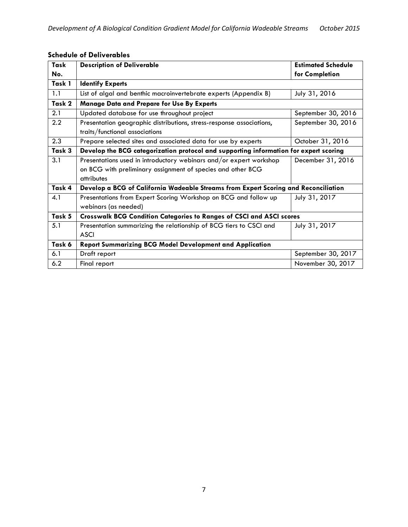| Task   | <b>Description of Deliverable</b>                                                     | <b>Estimated Schedule</b> |
|--------|---------------------------------------------------------------------------------------|---------------------------|
| No.    |                                                                                       | for Completion            |
| Task 1 | <b>Identify Experts</b>                                                               |                           |
| 1.1    | List of algal and benthic macroinvertebrate experts (Appendix B)                      | July 31, 2016             |
| Task 2 | <b>Manage Data and Prepare for Use By Experts</b>                                     |                           |
| 2.1    | Updated database for use throughout project                                           | September 30, 2016        |
| 2.2    | Presentation geographic distributions, stress-response associations,                  | September 30, 2016        |
|        | traits/functional associations                                                        |                           |
| 2.3    | Prepare selected sites and associated data for use by experts                         | October 31, 2016          |
| Task 3 | Develop the BCG categorization protocol and supporting information for expert scoring |                           |
| 3.1    | Presentations used in introductory webinars and/or expert workshop                    | December 31, 2016         |
|        | on BCG with preliminary assignment of species and other BCG                           |                           |
|        | attributes                                                                            |                           |
| Task 4 | Develop a BCG of California Wadeable Streams from Expert Scoring and Reconciliation   |                           |
| 4.1    | Presentations from Expert Scoring Workshop on BCG and follow up                       | July 31, 2017             |
|        | webinars (as needed)                                                                  |                           |
| Task 5 | <b>Crosswalk BCG Condition Categories to Ranges of CSCI and ASCI scores</b>           |                           |
| 5.1    | Presentation summarizing the relationship of BCG tiers to CSCI and                    | July 31, 2017             |
|        | <b>ASCI</b>                                                                           |                           |
| Task 6 | <b>Report Summarizing BCG Model Development and Application</b>                       |                           |
| 6.1    | Draft report                                                                          | September 30, 2017        |
| 6.2    | Final report                                                                          | November 30, 2017         |

## **Schedule of Deliverables**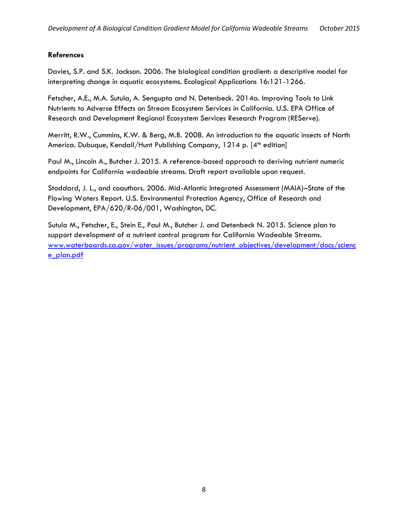# **References**

Davies, S.P. and S.K. Jackson. 2006. The biological condition gradient: a descriptive model for interpreting change in aquatic ecosystems. Ecological Applications 16:121-1266.

Fetscher, A.E., M.A. Sutula, A. Sengupta and N. Detenbeck. 2014a. Improving Tools to Link Nutrients to Adverse Effects on Stream Ecosystem Services in California. U.S. EPA Office of Research and Development Regional Ecosystem Services Research Program (REServe).

Merritt, R.W., Cummins, K.W. & Berg, M.B. 2008. An introduction to the aquatic insects of North America. Dubuque, Kendall/Hunt Publishing Company, 1214 p. [4<sup>th</sup> edition]

Paul M., Lincoln A., Butcher J. 2015. A reference-based approach to deriving nutrient numeric endpoints for California wadeable streams. Draft report available upon request.

Stoddard, J. L., and coauthors. 2006. Mid-Atlantic Integrated Assessment (MAIA)–State of the Flowing Waters Report. U.S. Environmental Protection Agency, Office of Research and Development, EPA/620/R-06/001, Washington, DC.

Sutula M., Fetscher, E., Stein E., Paul M., Butcher J. and Detenbeck N. 2015. Science plan to support development of a nutrient control program for California Wadeable Streams. [www.waterboards.ca.gov/water\\_issues/programs/nutrient\\_objectives/development/docs/scienc](http://www.waterboards.ca.gov/water_issues/programs/nutrient_objectives/development/docs/science_plan.pdf) [e\\_plan.pdf](http://www.waterboards.ca.gov/water_issues/programs/nutrient_objectives/development/docs/science_plan.pdf)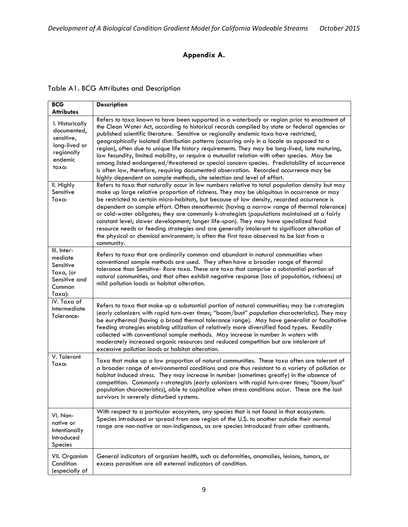# **Appendix A.**

# Table A1. BCG Attributes and Description

| <b>BCG</b>                                                                                      | <b>Description</b>                                                                                                                                                                                                                                                                                                                                                                                                                                                                                                                                                                                                                                                                                                                                                                                                                                     |
|-------------------------------------------------------------------------------------------------|--------------------------------------------------------------------------------------------------------------------------------------------------------------------------------------------------------------------------------------------------------------------------------------------------------------------------------------------------------------------------------------------------------------------------------------------------------------------------------------------------------------------------------------------------------------------------------------------------------------------------------------------------------------------------------------------------------------------------------------------------------------------------------------------------------------------------------------------------------|
| <b>Attributes</b>                                                                               |                                                                                                                                                                                                                                                                                                                                                                                                                                                                                                                                                                                                                                                                                                                                                                                                                                                        |
| I. Historically<br>documented,<br>sensitive,<br>long-lived or<br>regionally<br>endemic<br>taxa: | Refers to taxa known to have been supported in a waterbody or region prior to enactment of<br>the Clean Water Act, according to historical records compiled by state or federal agencies or<br>published scientific literature. Sensitive or regionally endemic taxa have restricted,<br>geographically isolated distribution patterns (occurring only in a locale as opposed to a<br>region), often due to unique life history requirements. They may be long-lived, late maturing,<br>low fecundity, limited mobility, or require a mutualist relation with other species. May be<br>among listed endangered/threatened or special concern species. Predictability of occurrence<br>is often low, therefore, requiring documented observation. Recorded occurrence may be<br>highly dependent on sample methods, site selection and level of effort. |
| II. Highly<br>Sensitive<br>Taxa:                                                                | Refers to taxa that naturally occur in low numbers relative to total population density but may<br>make up large relative proportion of richness. They may be ubiquitous in occurrence or may<br>be restricted to certain micro-habitats, but because of low density, recorded occurrence is<br>dependent on sample effort. Often stenothermic (having a narrow range of thermal tolerance)<br>or cold-water obligates; they are commonly k-strategists (populations maintained at a fairly<br>constant level; slower development; longer life-span). They may have specialized food<br>resource needs or feeding strategies and are generally intolerant to significant alteration of<br>the physical or chemical environment; is often the first taxa observed to be lost from a<br>community.                                                       |
| III. Inter-<br>mediate<br>Sensitive<br>Taxa, (or<br>Sensitive and<br>Common<br>Taxa):           | Refers to taxa that are ordinarily common and abundant in natural communities when<br>conventional sample methods are used. They often have a broader range of thermal<br>tolerance than Sensitive- Rare taxa. These are taxa that comprise a substantial portion of<br>natural communities, and that often exhibit negative response (loss of population, richness) at<br>mild pollution loads or habitat alteration.                                                                                                                                                                                                                                                                                                                                                                                                                                 |
| IV. Taxa of<br>Intermediate<br>Tolerance:                                                       | Refers to taxa that make up a substantial portion of natural communities; may be r-strategists<br>(early colonizers with rapid turn-over times; "boom/bust" population characteristics). They may<br>be eurythermal (having a broad thermal tolerance range). May have generalist or facultative<br>feeding strategies enabling utilization of relatively more diversified food types. Readily<br>collected with conventional sample methods. May increase in number in waters with<br>moderately increased organic resources and reduced competition but are intolerant of<br>excessive pollution loads or habitat alteration.                                                                                                                                                                                                                        |
| V. Tolerant<br>Taxa:                                                                            | Taxa that make up a low proportion of natural communities. These taxa often are tolerant of<br>a broader range of environmental conditions and are thus resistant to a variety of pollution or<br>habitat induced stress. They may increase in number (sometimes greatly) in the absence of<br>competition. Commonly r-strategists (early colonizers with rapid turn-over times; "boom/bust"<br>population characteristics), able to capitalize when stress conditions occur. These are the last<br>survivors in severely disturbed systems.                                                                                                                                                                                                                                                                                                           |
| VI. Non-<br>native or<br>Intentionally<br>Introduced<br>Species                                 | With respect to a particular ecosystem, any species that is not found in that ecosystem.<br>Species introduced or spread from one region of the U.S. to another outside their normal<br>range are non-native or non-indigenous, as are species introduced from other continents.                                                                                                                                                                                                                                                                                                                                                                                                                                                                                                                                                                       |
| VII. Organism<br>Condition<br>(especially of                                                    | General indicators of organism health, such as deformities, anomalies, lesions, tumors, or<br>excess parasitism are all external indicators of condition.                                                                                                                                                                                                                                                                                                                                                                                                                                                                                                                                                                                                                                                                                              |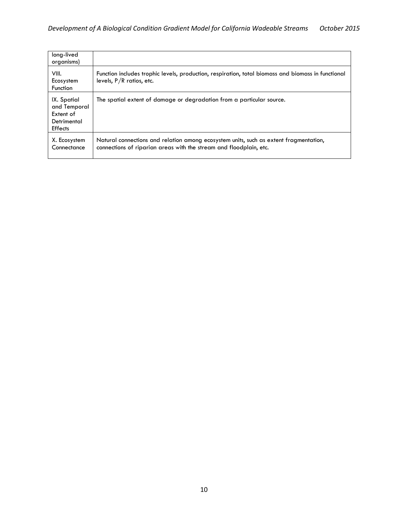| long-lived<br>organisms)                                                  |                                                                                                                                                             |
|---------------------------------------------------------------------------|-------------------------------------------------------------------------------------------------------------------------------------------------------------|
| VIII.<br>Ecosystem<br><b>Function</b>                                     | Function includes trophic levels, production, respiration, total biomass and biomass in functional<br>levels, $P/R$ ratios, etc.                            |
| IX. Spatial<br>and Temporal<br>Extent of<br>Detrimental<br><b>Effects</b> | The spatial extent of damage or degradation from a particular source.                                                                                       |
| X. Ecosystem<br>Connectance                                               | Natural connections and relation among ecosystem units, such as extent fragmentation,<br>connections of riparian areas with the stream and floodplain, etc. |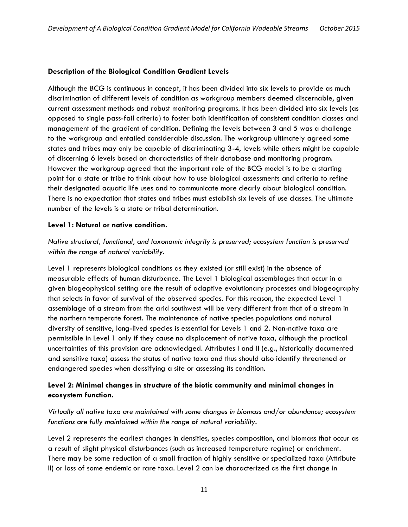#### **Description of the Biological Condition Gradient Levels**

Although the BCG is continuous in concept, it has been divided into six levels to provide as much discrimination of different levels of condition as workgroup members deemed discernable, given current assessment methods and robust monitoring programs. It has been divided into six levels (as opposed to single pass-fail criteria) to foster both identification of consistent condition classes and management of the gradient of condition. Defining the levels between 3 and 5 was a challenge to the workgroup and entailed considerable discussion. The workgroup ultimately agreed some states and tribes may only be capable of discriminating 3-4, levels while others might be capable of discerning 6 levels based on characteristics of their database and monitoring program. However the workgroup agreed that the important role of the BCG model is to be a starting point for a state or tribe to think about how to use biological assessments and criteria to refine their designated aquatic life uses and to communicate more clearly about biological condition. There is no expectation that states and tribes must establish six levels of use classes. The ultimate number of the levels is a state or tribal determination.

#### **Level 1: Natural or native condition.**

*Native structural, functional, and taxonomic integrity is preserved; ecosystem function is preserved within the range of natural variability.*

Level 1 represents biological conditions as they existed (or still exist) in the absence of measurable effects of human disturbance. The Level 1 biological assemblages that occur in a given biogeophysical setting are the result of adaptive evolutionary processes and biogeography that selects in favor of survival of the observed species. For this reason, the expected Level 1 assemblage of a stream from the arid southwest will be very different from that of a stream in the northern temperate forest. The maintenance of native species populations and natural diversity of sensitive, long-lived species is essential for Levels 1 and 2. Non-native taxa are permissible in Level 1 only if they cause no displacement of native taxa, although the practical uncertainties of this provision are acknowledged. Attributes I and II (e.g., historically documented and sensitive taxa) assess the status of native taxa and thus should also identify threatened or endangered species when classifying a site or assessing its condition.

### **Level 2: Minimal changes in structure of the biotic community and minimal changes in ecosystem function.**

*Virtually all native taxa are maintained with some changes in biomass and/or abundance; ecosystem functions are fully maintained within the range of natural variability.*

Level 2 represents the earliest changes in densities, species composition, and biomass that occur as a result of slight physical disturbances (such as increased temperature regime) or enrichment. There may be some reduction of a small fraction of highly sensitive or specialized taxa (Attribute II) or loss of some endemic or rare taxa. Level 2 can be characterized as the first change in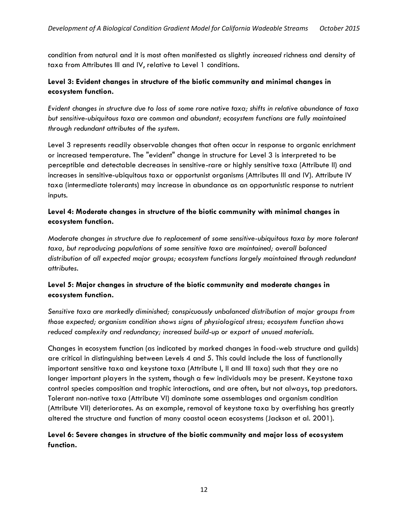condition from natural and it is most often manifested as slightly *increased* richness and density of taxa from Attributes III and IV, relative to Level 1 conditions.

### **Level 3: Evident changes in structure of the biotic community and minimal changes in ecosystem function.**

*Evident changes in structure due to loss of some rare native taxa; shifts in relative abundance of taxa but sensitive-ubiquitous taxa are common and abundant; ecosystem functions are fully maintained through redundant attributes of the system.*

Level 3 represents readily observable changes that often occur in response to organic enrichment or increased temperature. The "evident" change in structure for Level 3 is interpreted to be perceptible and detectable decreases in sensitive-rare or highly sensitive taxa (Attribute II) and increases in sensitive-ubiquitous taxa or opportunist organisms (Attributes III and IV). Attribute IV taxa (intermediate tolerants) may increase in abundance as an opportunistic response to nutrient inputs.

### **Level 4: Moderate changes in structure of the biotic community with minimal changes in ecosystem function.**

*Moderate changes in structure due to replacement of some sensitive-ubiquitous taxa by more tolerant taxa, but reproducing populations of some sensitive taxa are maintained; overall balanced distribution of all expected major groups; ecosystem functions largely maintained through redundant attributes.*

### **Level 5: Major changes in structure of the biotic community and moderate changes in ecosystem function.**

*Sensitive taxa are markedly diminished; conspicuously unbalanced distribution of major groups from those expected; organism condition shows signs of physiological stress; ecosystem function shows reduced complexity and redundancy; increased build-up or export of unused materials.*

Changes in ecosystem function (as indicated by marked changes in food-web structure and guilds) are critical in distinguishing between Levels 4 and 5. This could include the loss of functionally important sensitive taxa and keystone taxa (Attribute I, II and III taxa) such that they are no longer important players in the system, though a few individuals may be present. Keystone taxa control species composition and trophic interactions, and are often, but not always, top predators. Tolerant non-native taxa (Attribute VI) dominate some assemblages and organism condition (Attribute VII) deteriorates. As an example, removal of keystone taxa by overfishing has greatly altered the structure and function of many coastal ocean ecosystems (Jackson et al. 2001).

# **Level 6: Severe changes in structure of the biotic community and major loss of ecosystem function.**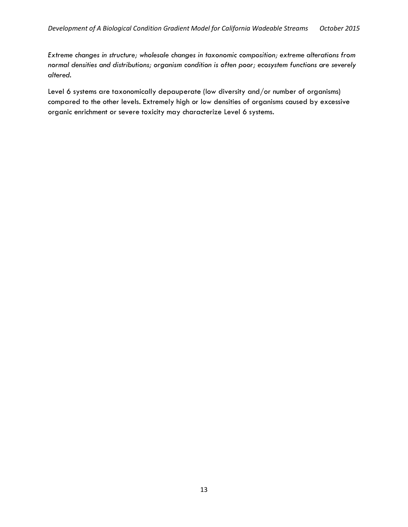*Extreme changes in structure; wholesale changes in taxonomic composition; extreme alterations from normal densities and distributions; organism condition is often poor; ecosystem functions are severely altered.*

Level 6 systems are taxonomically depauperate (low diversity and/or number of organisms) compared to the other levels. Extremely high or low densities of organisms caused by excessive organic enrichment or severe toxicity may characterize Level 6 systems.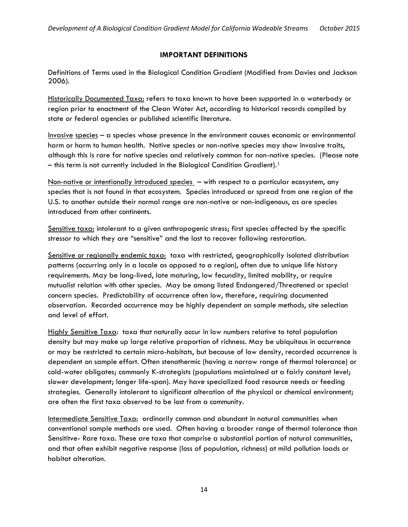### **IMPORTANT DEFINITIONS**

Definitions of Terms used in the Biological Condition Gradient (Modified from Davies and Jackson 2006).

Historically Documented Taxa: refers to taxa known to have been supported in a waterbody or region prior to enactment of the Clean Water Act, according to historical records compiled by state or federal agencies or published scientific literature.

 $Invasive species - a species whose presence in the environment causes economic or environmental$ </u> harm or harm to human health. Native species or non-native species may show invasive traits, although this is rare for native species and relatively common for non-native species. (Please note  $-$  this term is not currently included in the Biological Condition Gradient).<sup>1</sup>

Non-native or intentionally introduced species – with respect to a particular ecosystem, any species that is not found in that ecosystem. Species introduced or spread from one region of the U.S. to another outside their normal range are non-native or non-indigenous, as are species introduced from other continents.

Sensitive taxa: intolerant to a given anthropogenic stress; first species affected by the specific stressor to which they are "sensitive" and the last to recover following restoration.

Sensitive or regionally endemic taxa: taxa with restricted, geographically isolated distribution patterns (occurring only in a locale as opposed to a region), often due to unique life history requirements. May be long-lived, late maturing, low fecundity, limited mobility, or require mutualist relation with other species. May be among listed Endangered/Threatened or special concern species. Predictability of occurrence often low, therefore, requiring documented observation. Recorded occurrence may be highly dependent on sample methods, site selection and level of effort.

Highly Sensitive Taxa: taxa that naturally occur in low numbers relative to total population density but may make up large relative proportion of richness. May be ubiquitous in occurrence or may be restricted to certain micro-habitats, but because of low density, recorded occurrence is dependent on sample effort. Often stenothermic (having a narrow range of thermal tolerance) or cold-water obligates; commonly K-strategists (populations maintained at a fairly constant level; slower development; longer life-span). May have specialized food resource needs or feeding strategies. Generally intolerant to significant alteration of the physical or chemical environment; are often the first taxa observed to be lost from a community.

Intermediate Sensitive Taxa: ordinarily common and abundant in natural communities when conventional sample methods are used. Often having a broader range of thermal tolerance than Sensititve- Rare taxa. These are taxa that comprise a substantial portion of natural communities, and that often exhibit negative response (loss of population, richness) at mild pollution loads or habitat alteration.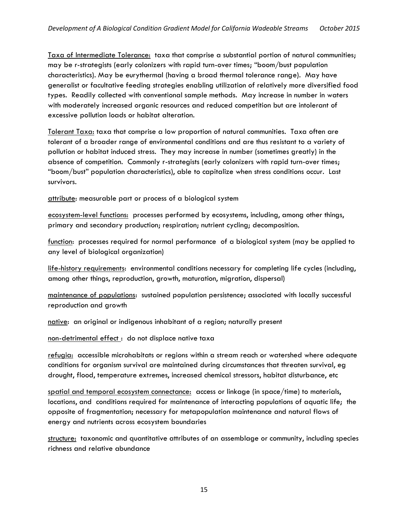Taxa of Intermediate Tolerance: taxa that comprise a substantial portion of natural communities; may be r-strategists (early colonizers with rapid turn-over times; "boom/bust population characteristics). May be eurythermal (having a broad thermal tolerance range). May have generalist or facultative feeding strategies enabling utilization of relatively more diversified food types. Readily collected with conventional sample methods. May increase in number in waters with moderately increased organic resources and reduced competition but are intolerant of excessive pollution loads or habitat alteration.

Tolerant Taxa: taxa that comprise a low proportion of natural communities. Taxa often are tolerant of a broader range of environmental conditions and are thus resistant to a variety of pollution or habitat induced stress. They may increase in number (sometimes greatly) in the absence of competition. Commonly r-strategists (early colonizers with rapid turn-over times; "boom/bust" population characteristics), able to capitalize when stress conditions occur. Last survivors.

attribute: measurable part or process of a biological system

ecosystem-level functions: processes performed by ecosystems, including, among other things, primary and secondary production; respiration; nutrient cycling; decomposition.

function: processes required for normal performance of a biological system (may be applied to any level of biological organization)

life-history requirements: environmental conditions necessary for completing life cycles (including, among other things, reproduction, growth, maturation, migration, dispersal)

maintenance of populations: sustained population persistence; associated with locally successful reproduction and growth

native: an original or indigenous inhabitant of a region; naturally present

non-detrimental effect : do not displace native taxa

refugia: accessible microhabitats or regions within a stream reach or watershed where adequate conditions for organism survival are maintained during circumstances that threaten survival, eg drought, flood, temperature extremes, increased chemical stressors, habitat disturbance, etc

spatial and temporal ecosystem connectance: access or linkage (in space/time) to materials, locations, and conditions required for maintenance of interacting populations of aquatic life; the opposite of fragmentation; necessary for metapopulation maintenance and natural flows of energy and nutrients across ecosystem boundaries

structure: taxonomic and quantitative attributes of an assemblage or community, including species richness and relative abundance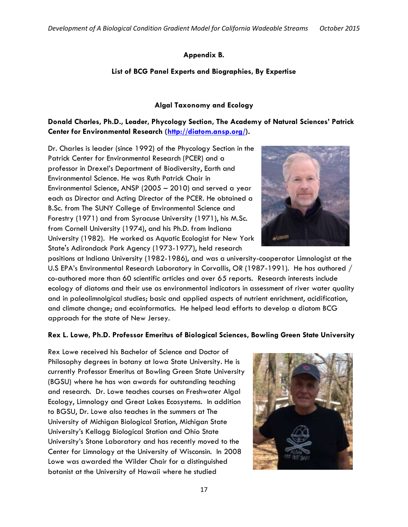### **Appendix B.**

### **List of BCG Panel Experts and Biographies, By Expertise**

### **Algal Taxonomy and Ecology**

# **Donald Charles, Ph.D., Leader, Phycology Section, The Academy of Natural Sciences' Patrick Center for Environmental Research [\(http://diatom.ansp.org/\)](http://diatom.ansp.org/).**

Dr. Charles is leader (since 1992) of the Phycology Section in the Patrick Center for Environmental Research (PCER) and a professor in Drexel's Department of Biodiversity, Earth and Environmental Science. He was Ruth Patrick Chair in Environmental Science, ANSP (2005 – 2010) and served a year each as Director and Acting Director of the PCER. He obtained a B.Sc. from The SUNY College of Environmental Science and Forestry (1971) and from Syracuse University (1971), his M.Sc. from Cornell University (1974), and his Ph.D. from Indiana University (1982). He worked as Aquatic Ecologist for New York State's Adirondack Park Agency (1973-1977), held research



positions at Indiana University (1982-1986), and was a university-cooperator Limnologist at the U.S EPA's Environmental Research Laboratory in Corvallis, OR (1987-1991). He has authored / co-authored more than 60 scientific articles and over 65 reports. Research interests include ecology of diatoms and their use as environmental indicators in assessment of river water quality and in paleolimnolgical studies; basic and applied aspects of nutrient enrichment, acidification, and climate change; and ecoinformatics. He helped lead efforts to develop a diatom BCG approach for the state of New Jersey.

### **Rex L. Lowe, Ph.D. Professor Emeritus of Biological Sciences, Bowling Green State University**

Rex Lowe received his Bachelor of Science and Doctor of Philosophy degrees in botany at Iowa State University. He is currently Professor Emeritus at Bowling Green State University (BGSU) where he has won awards for outstanding teaching and research. Dr. Lowe teaches courses on Freshwater Algal Ecology, Limnology and Great Lakes Ecosystems. In addition to BGSU, Dr. Lowe also teaches in the summers at The University of Michigan Biological Station, Michigan State University's Kellogg Biological Station and Ohio State University's Stone Laboratory and has recently moved to the Center for Limnology at the University of Wisconsin. In 2008 Lowe was awarded the Wilder Chair for a distinguished botanist at the University of Hawaii where he studied

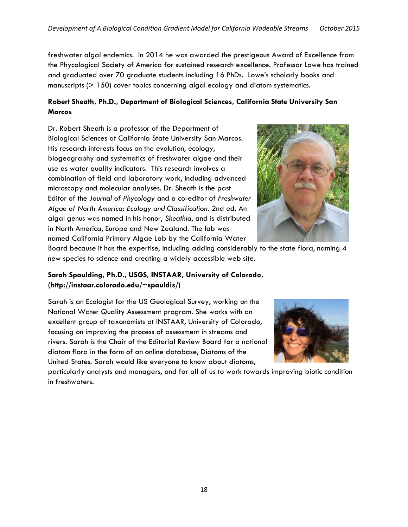freshwater algal endemics. In 2014 he was awarded the prestigeous Award of Excellence from the Phycological Society of America for sustained research excellence. Professor Lowe has trained and graduated over 70 graduate students including 16 PhDs. Lowe's scholarly books and manuscripts  $(> 150)$  cover topics concerning algal ecology and diatom systematics.

### **Robert Sheath, Ph.D., Department of Biological Sciences, California State University San Marcos**

Dr. Robert Sheath is a professor of the Department of Biological Sciences at California State University San Marcos. His research interests focus on the evolution, ecology, biogeography and systematics of freshwater algae and their use as water quality indicators. This research involves a combination of field and laboratory work, including advanced microscopy and molecular analyses. Dr. Sheath is the past Editor of the *Journal of Phycology* and a co-editor of *Freshwater Algae of North America: Ecology and Classification.* 2nd ed. An algal genus was named in his honor, *Sheathia*, and is distributed in North America, Europe and New Zealand. The lab was named California Primary Algae Lab by the California Water



Board because it has the expertise, including adding considerably to the state flora, naming 4 new species to science and creating a widely accessible web site.

### **Sarah Spaulding, Ph.D., USGS, INSTAAR, University of Colorado, (http://instaar.colorado.edu/~spauldis/)**

Sarah is an Ecologist for the US Geological Survey, working on the National Water Quality Assessment program. She works with an excellent group of taxonomists at INSTAAR, University of Colorado, focusing on improving the process of assessment in streams and rivers. Sarah is the Chair of the Editorial Review Board for a national diatom flora in the form of an online database, Diatoms of the United States. Sarah would like everyone to know about diatoms,



particularly analysts and managers, and for all of us to work towards improving biotic condition in freshwaters.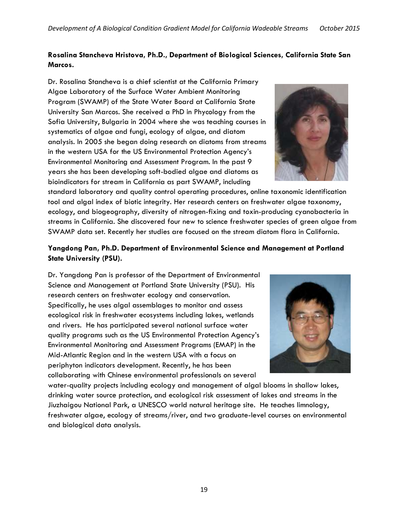### **Rosalina Stancheva Hristova, Ph.D., Department of Biological Sciences, California State San Marcos.**

Dr. Rosalina Stancheva is a chief scientist at the California Primary Algae Laboratory of the Surface Water Ambient Monitoring Program (SWAMP) of the State Water Board at California State University San Marcos. She received a PhD in Phycology from the Sofia University, Bulgaria in 2004 where she was teaching courses in systematics of algae and fungi, ecology of algae, and diatom analysis. In 2005 she began doing research on diatoms from streams in the western USA for the US Environmental Protection Agency's Environmental Monitoring and Assessment Program. In the past 9 years she has been developing soft-bodied algae and diatoms as bioindicators for stream in California as part SWAMP, including



standard laboratory and quality control operating procedures, online taxonomic identification tool and algal index of biotic integrity. Her research centers on freshwater algae taxonomy, ecology, and biogeography, diversity of nitrogen-fixing and toxin-producing cyanobacteria in streams in California. She discovered four new to science freshwater species of green algae from SWAMP data set. Recently her studies are focused on the stream diatom flora in California.

# **Yangdong Pan, Ph.D. Department of Environmental Science and Management at Portland State University (PSU).**

Dr. Yangdong Pan is professor of the Department of Environmental Science and Management at Portland State University (PSU). His research centers on freshwater ecology and conservation. Specifically, he uses algal assemblages to monitor and assess ecological risk in freshwater ecosystems including lakes, wetlands and rivers. He has participated several national surface water quality programs such as the US Environmental Protection Agency's Environmental Monitoring and Assessment Programs (EMAP) in the Mid-Atlantic Region and in the western USA with a focus on periphyton indicators development. Recently, he has been collaborating with Chinese environmental professionals on several



water-quality projects including ecology and management of algal blooms in shallow lakes, drinking water source protection, and ecological risk assessment of lakes and streams in the Jiuzhaigou National Park, a UNESCO world natural heritage site. He teaches limnology, freshwater algae, ecology of streams/river, and two graduate-level courses on environmental and biological data analysis.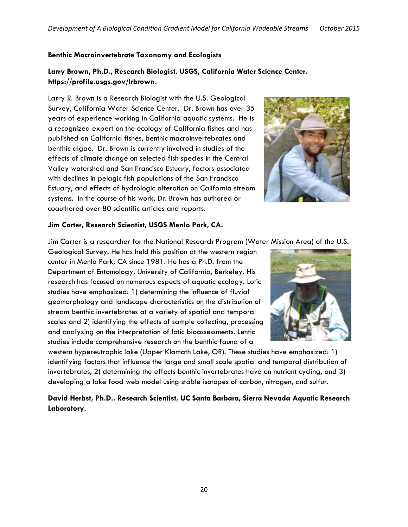### **Benthic Macroinvertebrate Taxonomy and Ecologists**

# **Larry Brown, Ph.D., Research Biologist, USGS, California Water Science Center. https://profile.usgs.gov/lrbrown.**

Larry R. Brown is a Research Biologist with the U.S. Geological Survey, California Water Science Center. Dr. Brown has over 35 years of experience working in California aquatic systems. He is a recognized expert on the ecology of California fishes and has published on California fishes, benthic macroinvertebrates and benthic algae. Dr. Brown is currently involved in studies of the effects of climate change on selected fish species in the Central Valley watershed and San Francisco Estuary, factors associated with declines in pelagic fish populations of the San Francisco Estuary, and effects of hydrologic alteration on California stream systems. In the course of his work, Dr. Brown has authored or coauthored over 80 scientific articles and reports.



#### **Jim Carter, Research Scientist, USGS Menlo Park, CA.**

Jim Carter is a researcher for the National Research Program (Water Mission Area) of the U.S.

Geological Survey. He has held this position at the western region center in Menlo Park, CA since 1981. He has a Ph.D. from the Department of Entomology, University of California, Berkeley. His research has focused on numerous aspects of aquatic ecology. Lotic studies have emphasized: 1) determining the influence of fluvial geomorphology and landscape characteristics on the distribution of stream benthic invertebrates at a variety of spatial and temporal scales and 2) identifying the effects of sample collecting, processing and analyzing on the interpretation of lotic bioassessments. Lentic studies include comprehensive research on the benthic fauna of a



western hypereutrophic lake (Upper Klamath Lake, OR). These studies have emphasized: 1) identifying factors that influence the large and small scale spatial and temporal distribution of invertebrates, 2) determining the effects benthic invertebrates have on nutrient cycling, and 3) developing a lake food web model using stable isotopes of carbon, nitrogen, and sulfur.

**David Herbst, Ph.D., Research Scientist, UC Santa Barbara, Sierra Nevada Aquatic Research Laboratory.**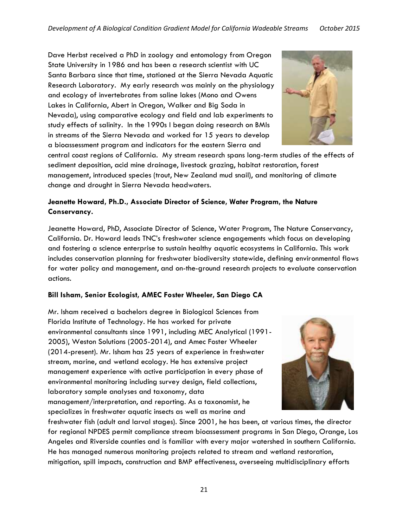Dave Herbst received a PhD in zoology and entomology from Oregon State University in 1986 and has been a research scientist with UC Santa Barbara since that time, stationed at the Sierra Nevada Aquatic Research Laboratory. My early research was mainly on the physiology and ecology of invertebrates from saline lakes (Mono and Owens Lakes in California, Abert in Oregon, Walker and Big Soda in Nevada), using comparative ecology and field and lab experiments to study effects of salinity. In the 1990s I began doing research on BMIs in streams of the Sierra Nevada and worked for 15 years to develop a bioassessment program and indicators for the eastern Sierra and



central coast regions of California. My stream research spans long-term studies of the effects of sediment deposition, acid mine drainage, livestock grazing, habitat restoration, forest management, introduced species (trout, New Zealand mud snail), and monitoring of climate change and drought in Sierra Nevada headwaters.

# **Jeanette Howard, Ph.D., Associate Director of Science, Water Program, the Nature Conservancy.**

Jeanette Howard, PhD, Associate Director of Science, Water Program, The Nature Conservancy, California. Dr. Howard leads TNC's freshwater science engagements which focus on developing and fostering a science enterprise to sustain healthy aquatic ecosystems in California. This work includes conservation planning for freshwater biodiversity statewide, defining environmental flows for water policy and management, and on-the-ground research projects to evaluate conservation actions.

### **Bill Isham, Senior Ecologist, AMEC Foster Wheeler, San Diego CA**

Mr. Isham received a bachelors degree in Biological Sciences from Florida Institute of Technology. He has worked for private environmental consultants since 1991, including MEC Analytical (1991- 2005), Weston Solutions (2005-2014), and Amec Foster Wheeler (2014-present). Mr. Isham has 25 years of experience in freshwater stream, marine, and wetland ecology. He has extensive project management experience with active participation in every phase of environmental monitoring including survey design, field collections, laboratory sample analyses and taxonomy, data management/interpretation, and reporting. As a taxonomist, he specializes in freshwater aquatic insects as well as marine and



freshwater fish (adult and larval stages). Since 2001, he has been, at various times, the director for regional NPDES permit compliance stream bioassessment programs in San Diego, Orange, Los Angeles and Riverside counties and is familiar with every major watershed in southern California. He has managed numerous monitoring projects related to stream and wetland restoration, mitigation, spill impacts, construction and BMP effectiveness, overseeing multidisciplinary efforts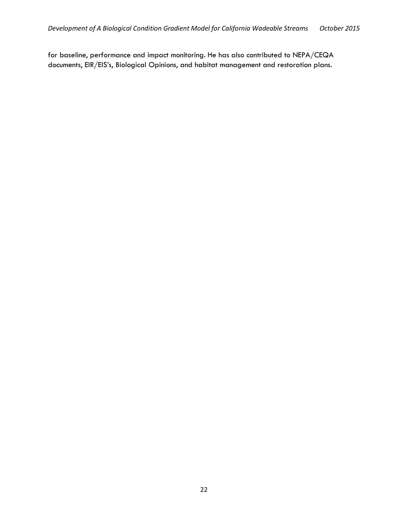for baseline, performance and impact monitoring. He has also contributed to NEPA/CEQA documents, EIR/EIS's, Biological Opinions, and habitat management and restoration plans.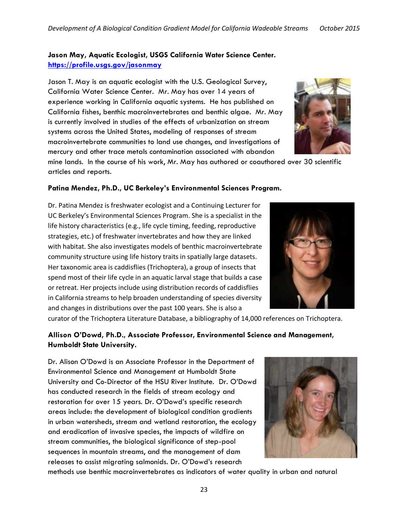# **Jason May, Aquatic Ecologist, USGS California Water Science Center. <https://profile.usgs.gov/jasonmay>**

Jason T. May is an aquatic ecologist with the U.S. Geological Survey, California Water Science Center. Mr. May has over 14 years of experience working in California aquatic systems. He has published on California fishes, benthic macroinvertebrates and benthic algae. Mr. May is currently involved in studies of the effects of urbanization on stream systems across the United States, modeling of responses of stream macroinvertebrate communities to land use changes, and investigations of mercury and other trace metals contamination associated with abandon

mine lands. In the course of his work, Mr. May has authored or coauthored over 30 scientific articles and reports.

### **Patina Mendez, Ph.D., UC Berkeley's Environmental Sciences Program.**

Dr. Patina Mendez is freshwater ecologist and a Continuing Lecturer for UC Berkeley's Environmental Sciences Program. She is a specialist in the life history characteristics (e.g., life cycle timing, feeding, reproductive strategies, etc.) of freshwater invertebrates and how they are linked with habitat. She also investigates models of benthic macroinvertebrate community structure using life history traits in spatially large datasets. Her taxonomic area is caddisflies (Trichoptera), a group of insects that spend most of their life cycle in an aquatic larval stage that builds a case or retreat. Her projects include using distribution records of caddisflies in California streams to help broaden understanding of species diversity and changes in distributions over the past 100 years. She is also a

curator of the Trichoptera Literature Database, a bibliography of 14,000 references on Trichoptera.

# **Allison O'Dowd, Ph.D., Associate Professor, Environmental Science and Management, Humboldt State University.**

Dr. Alison O'Dowd is an Associate Professor in the Department of Environmental Science and Management at Humboldt State University and Co-Director of the HSU River Institute. Dr. O'Dowd has conducted research in the fields of stream ecology and restoration for over 15 years. Dr. O'Dowd's specific research areas include: the development of biological condition gradients in urban watersheds, stream and wetland restoration, the ecology and eradication of invasive species, the impacts of wildfire on stream communities, the biological significance of step-pool sequences in mountain streams, and the management of dam releases to assist migrating salmonids. Dr. O'Dowd's research





23



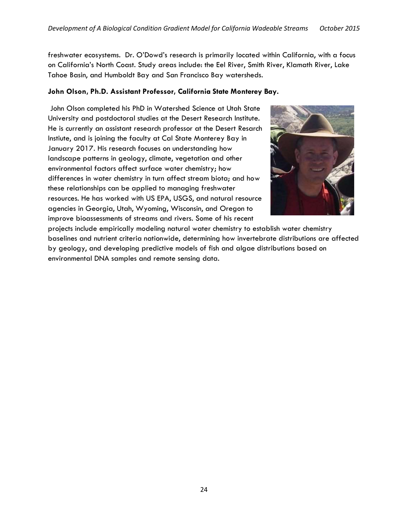freshwater ecosystems. Dr. O'Dowd's research is primarily located within California, with a focus on California's North Coast. Study areas include: the Eel River, Smith River, Klamath River, Lake Tahoe Basin, and Humboldt Bay and San Francisco Bay watersheds.

### **John Olson, Ph.D. Assistant Professor, California State Monterey Bay.**

John Olson completed his PhD in Watershed Science at Utah State University and postdoctoral studies at the Desert Research Institute. He is currently an assistant research professor at the Desert Resarch Instiute, and is joining the faculty at Cal State Monterey Bay in January 2017. His research focuses on understanding how landscape patterns in geology, climate, vegetation and other environmental factors affect surface water chemistry; how differences in water chemistry in turn affect stream biota; and how these relationships can be applied to managing freshwater resources. He has worked with US EPA, USGS, and natural resource agencies in Georgia, Utah, Wyoming, Wisconsin, and Oregon to improve bioassessments of streams and rivers. Some of his recent



projects include empirically modeling natural water chemistry to establish water chemistry baselines and nutrient criteria nationwide, determining how invertebrate distributions are affected by geology, and developing predictive models of fish and algae distributions based on environmental DNA samples and remote sensing data.